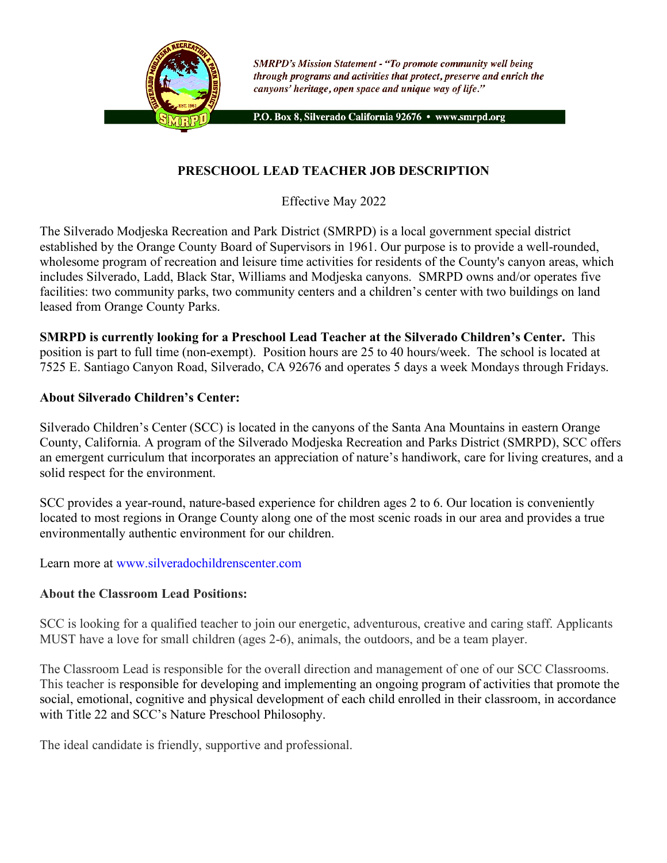

**SMRPD's Mission Statement - "To promote community well being** through programs and activities that protect, preserve and enrich the canyons' heritage, open space and unique way of life."

P.O. Box 8, Silverado California 92676 · www.smrpd.org

# **PRESCHOOL LEAD TEACHER JOB DESCRIPTION**

Effective May 2022

The Silverado Modjeska Recreation and Park District (SMRPD) is a local government special district established by the Orange County Board of Supervisors in 1961. Our purpose is to provide a well-rounded, wholesome program of recreation and leisure time activities for residents of the County's canyon areas, which includes Silverado, Ladd, Black Star, Williams and Modjeska canyons. SMRPD owns and/or operates five facilities: two community parks, two community centers and a children's center with two buildings on land leased from Orange County Parks.

**SMRPD is currently looking for a Preschool Lead Teacher at the Silverado Children's Center.** This position is part to full time (non-exempt). Position hours are 25 to 40 hours/week. The school is located at 7525 E. Santiago Canyon Road, Silverado, CA 92676 and operates 5 days a week Mondays through Fridays.

## **About Silverado Children's Center:**

Silverado Children's Center (SCC) is located in the canyons of the Santa Ana Mountains in eastern Orange County, California. A program of the Silverado Modjeska Recreation and Parks District (SMRPD), SCC offers an emergent curriculum that incorporates an appreciation of nature's handiwork, care for living creatures, and a solid respect for the environment.

SCC provides a year-round, nature-based experience for children ages 2 to 6. Our location is conveniently located to most regions in Orange County along one of the most scenic roads in our area and provides a true environmentally authentic environment for our children.

Learn more at www.silveradochildrenscenter.com

## **About the Classroom Lead Positions:**

SCC is looking for a qualified teacher to join our energetic, adventurous, creative and caring staff. Applicants MUST have a love for small children (ages 2-6), animals, the outdoors, and be a team player.

The Classroom Lead is responsible for the overall direction and management of one of our SCC Classrooms. This teacher is responsible for developing and implementing an ongoing program of activities that promote the social, emotional, cognitive and physical development of each child enrolled in their classroom, in accordance with Title 22 and SCC's Nature Preschool Philosophy.

The ideal candidate is friendly, supportive and professional.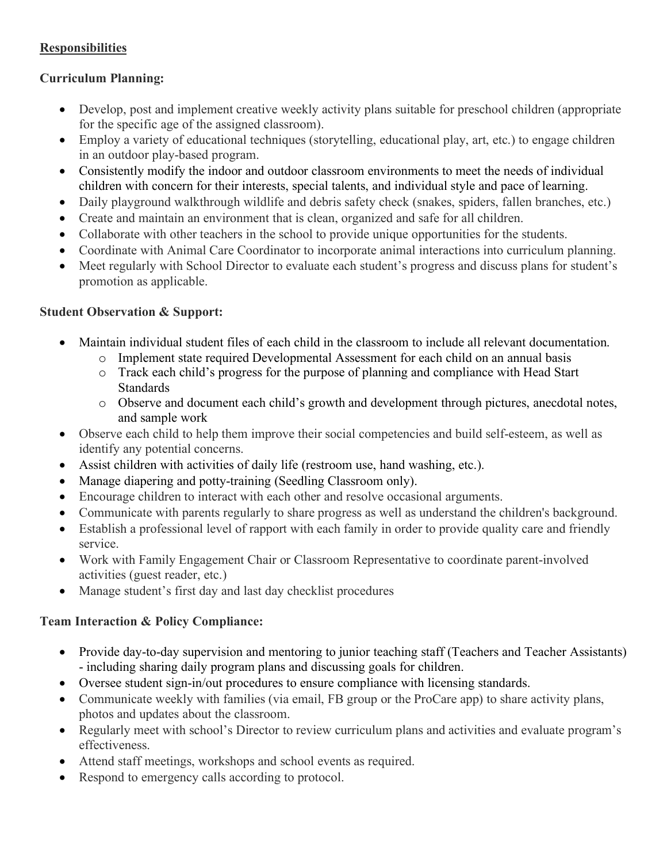# **Responsibilities**

## **Curriculum Planning:**

- Develop, post and implement creative weekly activity plans suitable for preschool children (appropriate for the specific age of the assigned classroom).
- Employ a variety of educational techniques (storytelling, educational play, art, etc.) to engage children in an outdoor play-based program.
- Consistently modify the indoor and outdoor classroom environments to meet the needs of individual children with concern for their interests, special talents, and individual style and pace of learning.
- Daily playground walkthrough wildlife and debris safety check (snakes, spiders, fallen branches, etc.)
- Create and maintain an environment that is clean, organized and safe for all children.
- Collaborate with other teachers in the school to provide unique opportunities for the students.
- Coordinate with Animal Care Coordinator to incorporate animal interactions into curriculum planning.
- Meet regularly with School Director to evaluate each student's progress and discuss plans for student's promotion as applicable.

## **Student Observation & Support:**

- Maintain individual student files of each child in the classroom to include all relevant documentation.
	- o Implement state required Developmental Assessment for each child on an annual basis
	- o Track each child's progress for the purpose of planning and compliance with Head Start **Standards**
	- o Observe and document each child's growth and development through pictures, anecdotal notes, and sample work
- Observe each child to help them improve their social competencies and build self-esteem, as well as identify any potential concerns.
- Assist children with activities of daily life (restroom use, hand washing, etc.).
- Manage diapering and potty-training (Seedling Classroom only).
- Encourage children to interact with each other and resolve occasional arguments.
- Communicate with parents regularly to share progress as well as understand the children's background.
- Establish a professional level of rapport with each family in order to provide quality care and friendly service.
- Work with Family Engagement Chair or Classroom Representative to coordinate parent-involved activities (guest reader, etc.)
- Manage student's first day and last day checklist procedures

## **Team Interaction & Policy Compliance:**

- Provide day-to-day supervision and mentoring to junior teaching staff (Teachers and Teacher Assistants) - including sharing daily program plans and discussing goals for children.
- Oversee student sign-in/out procedures to ensure compliance with licensing standards.
- Communicate weekly with families (via email, FB group or the ProCare app) to share activity plans, photos and updates about the classroom.
- Regularly meet with school's Director to review curriculum plans and activities and evaluate program's effectiveness.
- Attend staff meetings, workshops and school events as required.
- Respond to emergency calls according to protocol.